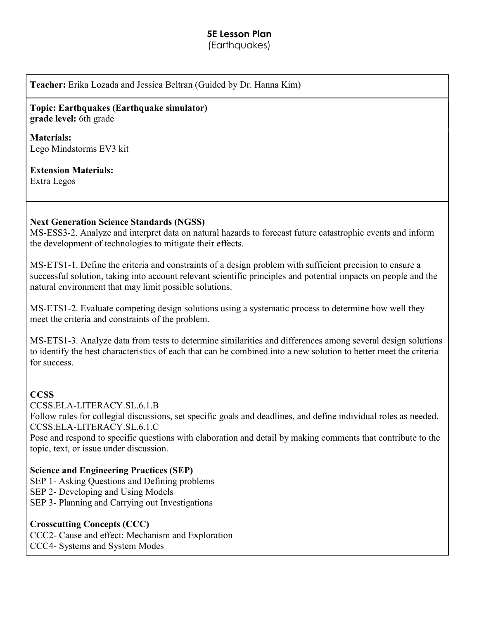# 5E Lesson Plan

(Earthauakes)

Teacher: Erika Lozada and Jessica Beltran (Guided by Dr. Hanna Kim)

## Topic: Earthquakes (Earthquake simulator) grade level: 6th grade

#### Materials: Lego Mindstorms EV3 kit

## Extension Materials:

Extra Legos

## Next Generation Science Standards (NGSS)

MS-ESS3-2. Analyze and interpret data on natural hazards to forecast future catastrophic events and inform the development of technologies to mitigate their effects.

MS-ETS1-1. Define the criteria and constraints of a design problem with sufficient precision to ensure a successful solution, taking into account relevant scientific principles and potential impacts on people and the natural environment that may limit possible solutions.

MS-ETS1-2. Evaluate competing design solutions using a systematic process to determine how well they meet the criteria and constraints of the problem.

MS-ETS1-3. Analyze data from tests to determine similarities and differences among several design solutions to identify the best characteristics of each that can be combined into a new solution to better meet the criteria for success.

## CCSS

CCSS.ELA-LITERACY.SL.6.1.B

Follow rules for collegial discussions, set specific goals and deadlines, and define individual roles as needed. CCSS.ELA-LITERACY.SL.6.1.C

Pose and respond to specific questions with elaboration and detail by making comments that contribute to the topic, text, or issue under discussion.

## Science and Engineering Practices (SEP)

SEP 1- Asking Questions and Defining problems

- SEP 2- Developing and Using Models
- SEP 3- Planning and Carrying out Investigations

## Crosscutting Concepts (CCC)

CCC2- Cause and effect: Mechanism and Exploration

CCC4- Systems and System Modes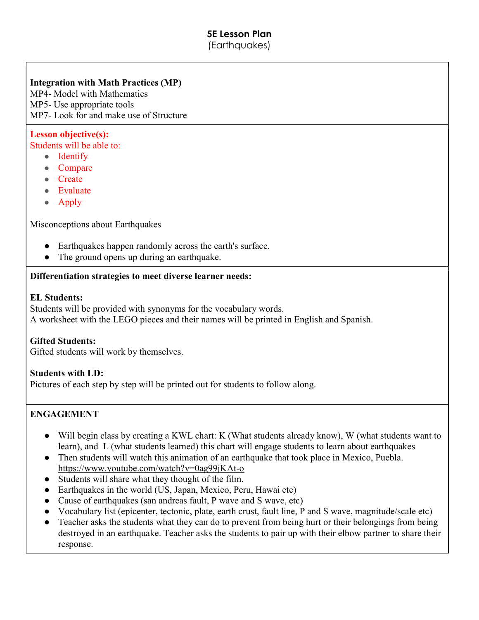#### 5E Lesson Plan (Earthquakes)

## Integration with Math Practices (MP)

MP4- Model with Mathematics MP5- Use appropriate tools MP7- Look for and make use of Structure

## Lesson objective(s):

Students will be able to:

- Identify
- Compare
- Create
- Evaluate
- Apply

Misconceptions about Earthquakes

- Earthquakes happen randomly across the earth's surface.
- The ground opens up during an earthquake.

#### Differentiation strategies to meet diverse learner needs:

#### EL Students:

Students will be provided with synonyms for the vocabulary words. A worksheet with the LEGO pieces and their names will be printed in English and Spanish.

## Gifted Students:

Gifted students will work by themselves.

## Students with LD:

Pictures of each step by step will be printed out for students to follow along.

## ENGAGEMENT

- Will begin class by creating a KWL chart: K (What students already know), W (what students want to learn), and L (what students learned) this chart will engage students to learn about earthquakes
- Then students will watch this animation of an earthquake that took place in Mexico, Puebla. https://www.youtube.com/watch?v=0ag99jKAt-o
- Students will share what they thought of the film.
- Earthquakes in the world (US, Japan, Mexico, Peru, Hawai etc)
- Cause of earthquakes (san andreas fault, P wave and S wave, etc)
- Vocabulary list (epicenter, tectonic, plate, earth crust, fault line, P and S wave, magnitude/scale etc)
- Teacher asks the students what they can do to prevent from being hurt or their belongings from being destroyed in an earthquake. Teacher asks the students to pair up with their elbow partner to share their response.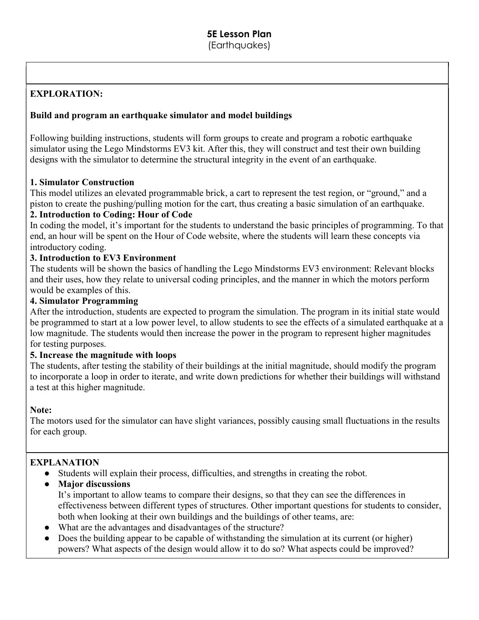## EXPLORATION:

#### Build and program an earthquake simulator and model buildings

Following building instructions, students will form groups to create and program a robotic earthquake simulator using the Lego Mindstorms EV3 kit. After this, they will construct and test their own building designs with the simulator to determine the structural integrity in the event of an earthquake.

#### 1. Simulator Construction

This model utilizes an elevated programmable brick, a cart to represent the test region, or "ground," and a piston to create the pushing/pulling motion for the cart, thus creating a basic simulation of an earthquake.

#### 2. Introduction to Coding: Hour of Code

In coding the model, it's important for the students to understand the basic principles of programming. To that end, an hour will be spent on the Hour of Code website, where the students will learn these concepts via introductory coding.

#### 3. Introduction to EV3 Environment

The students will be shown the basics of handling the Lego Mindstorms EV3 environment: Relevant blocks and their uses, how they relate to universal coding principles, and the manner in which the motors perform would be examples of this.

#### 4. Simulator Programming

After the introduction, students are expected to program the simulation. The program in its initial state would be programmed to start at a low power level, to allow students to see the effects of a simulated earthquake at a low magnitude. The students would then increase the power in the program to represent higher magnitudes for testing purposes.

#### 5. Increase the magnitude with loops

The students, after testing the stability of their buildings at the initial magnitude, should modify the program to incorporate a loop in order to iterate, and write down predictions for whether their buildings will withstand a test at this higher magnitude.

#### Note:

The motors used for the simulator can have slight variances, possibly causing small fluctuations in the results for each group.

## EXPLANATION

- Students will explain their process, difficulties, and strengths in creating the robot.
- Major discussions

It's important to allow teams to compare their designs, so that they can see the differences in effectiveness between different types of structures. Other important questions for students to consider, both when looking at their own buildings and the buildings of other teams, are:

- What are the advantages and disadvantages of the structure?
- Does the building appear to be capable of withstanding the simulation at its current (or higher) powers? What aspects of the design would allow it to do so? What aspects could be improved?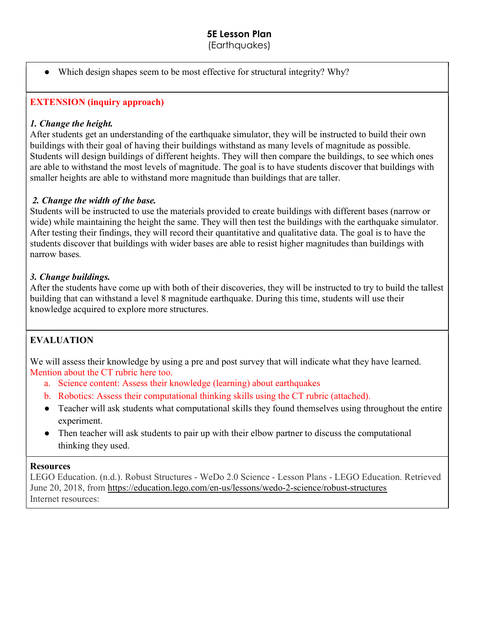(Earthquakes)

• Which design shapes seem to be most effective for structural integrity? Why?

## EXTENSION (inquiry approach)

## 1. Change the height.

After students get an understanding of the earthquake simulator, they will be instructed to build their own buildings with their goal of having their buildings withstand as many levels of magnitude as possible. Students will design buildings of different heights. They will then compare the buildings, to see which ones are able to withstand the most levels of magnitude. The goal is to have students discover that buildings with smaller heights are able to withstand more magnitude than buildings that are taller.

## 2. Change the width of the base.

Students will be instructed to use the materials provided to create buildings with different bases (narrow or wide) while maintaining the height the same. They will then test the buildings with the earthquake simulator. After testing their findings, they will record their quantitative and qualitative data. The goal is to have the students discover that buildings with wider bases are able to resist higher magnitudes than buildings with narrow bases.

## 3. Change buildings.

After the students have come up with both of their discoveries, they will be instructed to try to build the tallest building that can withstand a level 8 magnitude earthquake. During this time, students will use their knowledge acquired to explore more structures.

## EVALUATION

We will assess their knowledge by using a pre and post survey that will indicate what they have learned. Mention about the CT rubric here too.

- a. Science content: Assess their knowledge (learning) about earthquakes
- b. Robotics: Assess their computational thinking skills using the CT rubric (attached).
- Teacher will ask students what computational skills they found themselves using throughout the entire experiment.
- Then teacher will ask students to pair up with their elbow partner to discuss the computational thinking they used.

## **Resources**

LEGO Education. (n.d.). Robust Structures - WeDo 2.0 Science - Lesson Plans - LEGO Education. Retrieved June 20, 2018, from https://education.lego.com/en-us/lessons/wedo-2-science/robust-structures Internet resources: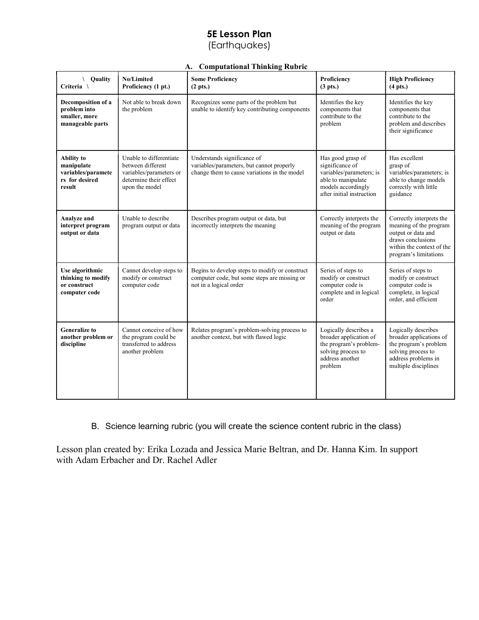## 5E Lesson Plan (Earthquakes)

#### A. Computational Thinking Rubric

| \ Quality<br>Criteria \                                                           | <b>No/Limited</b><br>Proficiency (1 pt.)                                                                            | <b>Some Proficiency</b><br>$(2 \text{ pts.})$                                                                            | Proficiency<br>$(3 \text{ pts.})$                                                                                                         | <b>High Proficiency</b><br>$(4 \text{ pts.})$                                                                                                       |
|-----------------------------------------------------------------------------------|---------------------------------------------------------------------------------------------------------------------|--------------------------------------------------------------------------------------------------------------------------|-------------------------------------------------------------------------------------------------------------------------------------------|-----------------------------------------------------------------------------------------------------------------------------------------------------|
| Decomposition of a<br>problem into<br>smaller, more<br>manageable parts           | Not able to break down<br>the problem                                                                               | Recognizes some parts of the problem but<br>unable to identify key contributing components                               | Identifies the key<br>components that<br>contribute to the<br>problem                                                                     | Identifies the key<br>components that<br>contribute to the<br>problem and describes<br>their significance                                           |
| <b>Ability</b> to<br>manipulate<br>variables/paramete<br>rs for desired<br>result | Unable to differentiate<br>between different<br>variables/parameters or<br>determine their effect<br>upon the model | Understands significance of<br>variables/parameters, but cannot properly<br>change them to cause variations in the model | Has good grasp of<br>significance of<br>variables/parameters; is<br>able to manipulate<br>models accordingly<br>after initial instruction | Has excellent<br>grasp of<br>variables/parameters; is<br>able to change models<br>correctly with little<br>guidance                                 |
| Analyze and<br>interpret program<br>output or data                                | Unable to describe<br>program output or data                                                                        | Describes program output or data, but<br>incorrectly interprets the meaning                                              | Correctly interprets the<br>meaning of the program<br>output or data                                                                      | Correctly interprets the<br>meaning of the program<br>output or data and<br>draws conclusions<br>within the context of the<br>program's limitations |
| Use algorithmic<br>thinking to modify<br>or construct<br>computer code            | Cannot develop steps to<br>modify or construct<br>computer code                                                     | Begins to develop steps to modify or construct<br>computer code, but some steps are missing or<br>not in a logical order | Series of steps to<br>modify or construct<br>computer code is<br>complete and in logical<br>order                                         | Series of steps to<br>modify or construct<br>computer code is<br>complete, in logical<br>order, and efficient                                       |
| <b>Generalize to</b><br>another problem or<br>discipline                          | Cannot conceive of how<br>the program could be<br>transferred to address<br>another problem                         | Relates program's problem-solving process to<br>another context, but with flawed logic                                   | Logically describes a<br>broader application of<br>the program's problem-<br>solving process to<br>address another<br>problem             | Logically describes<br>broader applications of<br>the program's problem<br>solving process to<br>address problems in<br>multiple disciplines        |

B. Science learning rubric (you will create the science content rubric in the class)

Lesson plan created by: Erika Lozada and Jessica Marie Beltran, and Dr. Hanna Kim. In support with Adam Erbacher and Dr. Rachel Adler